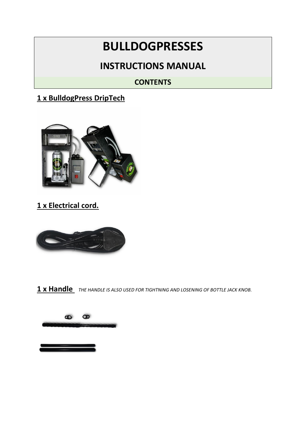# **BULLDOGPRESSES**

## **INSTRUCTIONS MANUAL**

#### **CONTENTS**

#### **1 x BulldogPress DripTech**



#### **1 x Electrical cord.**



**1 x Handle** *THE HANDLE IS ALSO USED FOR TIGHTNING AND LOSENING OF BOTTLE JACK KNOB.*

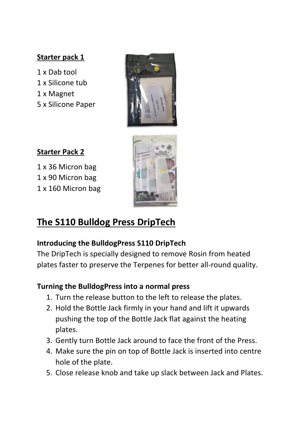#### **Starter pack 1**

1 x Dab tool 1 x Silicone tub 1 x Magnet 5 x Silicone Paper



**Starter Pack 2** 

1 x 36 Micron bag 1 x 90 Micron bag 1 x 160 Micron bag



# **The S110 Bulldog Press DripTech**

#### **Introducing the BulldogPress S110 DripTech**

The DripTech is specially designed to remove Rosin from heated plates faster to preserve the Terpenes for better all-round quality.

#### **Turning the BulldogPress into a normal press**

- 1. Turn the release button to the left to release the plates.
- 2. Hold the Bottle Jack firmly in your hand and lift it upwards pushing the top of the Bottle Jack flat against the heating plates.
- 3. Gently turn Bottle Jack around to face the front of the Press.
- 4. Make sure the pin on top of Bottle Jack is inserted into centre hole of the plate.
- 5. Close release knob and take up slack between Jack and Plates.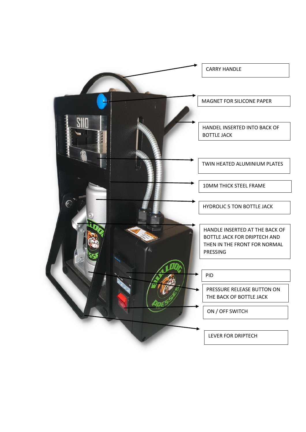